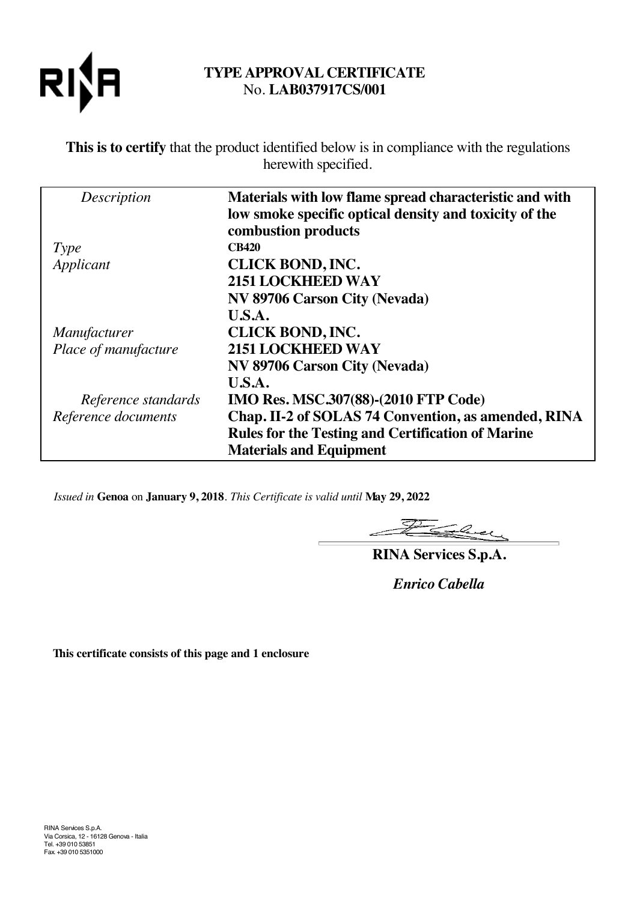

# **TYPE APPROVAL CERTIFICATE** No. **LAB037917CS/001**

**This is to certify** that the product identified below is in compliance with the regulations herewith specified.

| Description          | Materials with low flame spread characteristic and with<br>low smoke specific optical density and toxicity of the<br>combustion products |
|----------------------|------------------------------------------------------------------------------------------------------------------------------------------|
| Type                 | <b>CB420</b>                                                                                                                             |
| Applicant            | <b>CLICK BOND, INC.</b>                                                                                                                  |
|                      | <b>2151 LOCKHEED WAY</b>                                                                                                                 |
|                      | NV 89706 Carson City (Nevada)                                                                                                            |
|                      | U.S.A.                                                                                                                                   |
| <i>Manufacturer</i>  | <b>CLICK BOND, INC.</b>                                                                                                                  |
| Place of manufacture | 2151 LOCKHEED WAY                                                                                                                        |
|                      | NV 89706 Carson City (Nevada)                                                                                                            |
|                      | U.S.A.                                                                                                                                   |
| Reference standards  | <b>IMO Res. MSC.307(88)-(2010 FTP Code)</b>                                                                                              |
| Reference documents  | Chap. II-2 of SOLAS 74 Convention, as amended, RINA                                                                                      |
|                      | <b>Rules for the Testing and Certification of Marine</b>                                                                                 |
|                      | <b>Materials and Equipment</b>                                                                                                           |

*Issued in* **Genoa** on **January 9, 2018**. *This Certificate is valid until* **May 29, 2022**

There  $\mathcal{Z}$ 

**RINA Services S.p.A.**

*Enrico Cabella*

**This certificate consists of this page and 1 enclosure**